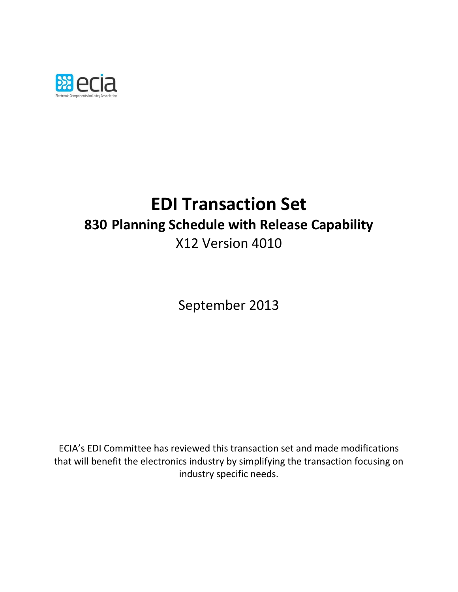

# **EDI Transaction Set 830 Planning Schedule with Release Capability** X12 Version 4010

September 2013

ECIA's EDI Committee has reviewed this transaction set and made modifications that will benefit the electronics industry by simplifying the transaction focusing on industry specific needs.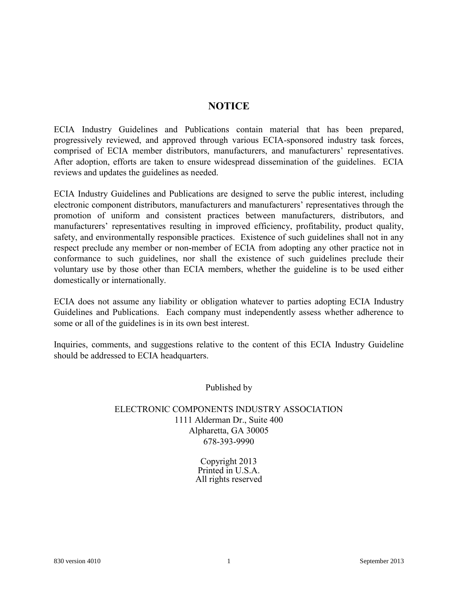### **NOTICE**

**ECIA Industry Guidelines and Publications contain material that has been prepared, progressively reviewed, and approved through various ECIA-sponsored industry task forces, comprised of ECIA member distributors, manufacturers, and manufacturers' representatives. After adoption, efforts are taken to ensure widespread dissemination of the guidelines. ECIA reviews and updates the guidelines as needed.**

**ECIA Industry Guidelines and Publications are designed to serve the public interest, including electronic component distributors, manufacturers and manufacturers' representatives through the promotion of uniform and consistent practices between manufacturers, distributors, and manufacturers' representatives resulting in improved efficiency, profitability, product quality, safety, and environmentally responsible practices. Existence of such guidelines shall not in any respect preclude any member or non-member of ECIA from adopting any other practice not in conformance to such guidelines, nor shall the existence of such guidelines preclude their voluntary use by those other than ECIA members, whether the guideline is to be used either domestically or internationally.**

**ECIA does not assume any liability or obligation whatever to parties adopting ECIA Industry Guidelines and Publications. Each company must independently assess whether adherence to some or all of the guidelines is in its own best interest.**

**Inquiries, comments, and suggestions relative to the content of this ECIA Industry Guideline should be addressed to ECIA headquarters.**

**Published by**

### **ELECTRONIC COMPONENTS INDUSTRY ASSOCIATION 1111 Alderman Dr., Suite 400 Alpharetta, GA 30005 678-393-9990**

**Copyright 2013 Printed in U.S.A. All rights reserved**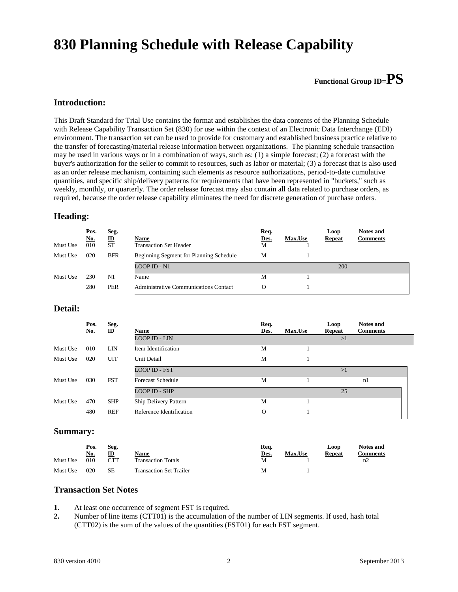### **830 Planning Schedule with Release Capability**

### **Functional Group ID=PS**

#### **Introduction:**

This Draft Standard for Trial Use contains the format and establishes the data contents of the Planning Schedule with Release Capability Transaction Set (830) for use within the context of an Electronic Data Interchange (EDI) environment. The transaction set can be used to provide for customary and established business practice relative to the transfer of forecasting/material release information between organizations. The planning schedule transaction may be used in various ways or in a combination of ways, such as: (1) a simple forecast; (2) a forecast with the buyer's authorization for the seller to commit to resources, such as labor or material; (3) a forecast that is also used as an order release mechanism, containing such elements as resource authorizations, period-to-date cumulative quantities, and specific ship/delivery patterns for requirements that have been represented in "buckets," such as weekly, monthly, or quarterly. The order release forecast may also contain all data related to purchase orders, as required, because the order release capability eliminates the need for discrete generation of purchase orders.

#### **Heading:**

| Must Use | Pos.<br><u>No.</u><br>010 | Seg.<br>$\mathbf{D}$<br><b>ST</b> | Name<br><b>Transaction Set Header</b>        | Req.<br>Des.<br>M | <b>Max.Use</b> | Loop<br><b>Repeat</b> | <b>Notes and</b><br><b>Comments</b> |
|----------|---------------------------|-----------------------------------|----------------------------------------------|-------------------|----------------|-----------------------|-------------------------------------|
| Must Use | 020                       | <b>BFR</b>                        | Beginning Segment for Planning Schedule      | М                 |                |                       |                                     |
|          |                           |                                   | <b>LOOP ID - N1</b>                          |                   |                | 200                   |                                     |
| Must Use | 230                       | N1                                | Name                                         | М                 |                |                       |                                     |
|          | 280                       | PER                               | <b>Administrative Communications Contact</b> | O                 |                |                       |                                     |

#### **Detail:**

|          | Pos.<br><u>No.</u> | Seg.<br>$\mathbf{D}$ | <b>Name</b>              | Req.<br>Des. | <b>Max.Use</b> | Loop<br>Repeat | <b>Notes and</b><br><b>Comments</b> |
|----------|--------------------|----------------------|--------------------------|--------------|----------------|----------------|-------------------------------------|
|          |                    |                      | <b>LOOP ID - LIN</b>     |              |                | >1             |                                     |
| Must Use | 010                | LIN                  | Item Identification      | M            |                |                |                                     |
| Must Use | 020                | UIT                  | Unit Detail              | M            |                |                |                                     |
|          |                    |                      | <b>LOOP ID - FST</b>     |              |                | >1             |                                     |
| Must Use | 030                | <b>FST</b>           | <b>Forecast Schedule</b> | M            |                |                | n <sub>1</sub>                      |
|          |                    |                      | <b>LOOP ID - SHP</b>     |              |                | 25             |                                     |
| Must Use | 470                | <b>SHP</b>           | Ship Delivery Pattern    | M            |                |                |                                     |
|          | 480                | <b>REF</b>           | Reference Identification | $\Omega$     |                |                |                                     |

#### **Summary:**

|          | Pos.       | Seg. |                                | Req. |                | Loop          | <b>Notes and</b> |
|----------|------------|------|--------------------------------|------|----------------|---------------|------------------|
|          | <u>No.</u> | ID   | Name                           | Des. | <b>Max.Use</b> | <b>Repeat</b> | <b>Comments</b>  |
| Must Use | 010        | CTT  | <b>Transaction Totals</b>      | M    |                |               | n2               |
| Must Use | 020        | SE   | <b>Transaction Set Trailer</b> | М    |                |               |                  |

#### **Transaction Set Notes**

- **1.** At least one occurrence of segment FST is required.
- **2.** Number of line items (CTT01) is the accumulation of the number of LIN segments. If used, hash total (CTT02) is the sum of the values of the quantities (FST01) for each FST segment.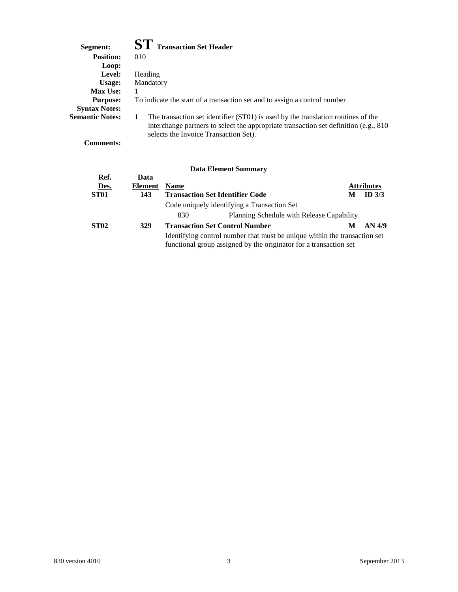| Segment:               | <b>ST</b> Transaction Set Header                                                                                                                                                                                        |
|------------------------|-------------------------------------------------------------------------------------------------------------------------------------------------------------------------------------------------------------------------|
| <b>Position:</b>       | 010                                                                                                                                                                                                                     |
| Loop:                  |                                                                                                                                                                                                                         |
| Level:                 | Heading                                                                                                                                                                                                                 |
| Usage:                 | Mandatory                                                                                                                                                                                                               |
| <b>Max Use:</b>        |                                                                                                                                                                                                                         |
| <b>Purpose:</b>        | To indicate the start of a transaction set and to assign a control number                                                                                                                                               |
| <b>Syntax Notes:</b>   |                                                                                                                                                                                                                         |
| <b>Semantic Notes:</b> | The transaction set identifier (ST01) is used by the translation routines of the<br>1<br>interchange partners to select the appropriate transaction set definition (e.g., 810)<br>selects the Invoice Transaction Set). |

**Comments:**

|                                         |                               |             | Data Littlitut Quillingi v                                                                                                                     |   |                               |
|-----------------------------------------|-------------------------------|-------------|------------------------------------------------------------------------------------------------------------------------------------------------|---|-------------------------------|
| Ref.<br><u>Des.</u><br>ST <sub>01</sub> | Data<br><b>Element</b><br>143 | <b>Name</b> | <b>Transaction Set Identifier Code</b>                                                                                                         | M | <b>Attributes</b><br>ID $3/3$ |
|                                         |                               |             | Code uniquely identifying a Transaction Set                                                                                                    |   |                               |
|                                         |                               | 830         | Planning Schedule with Release Capability                                                                                                      |   |                               |
| <b>ST02</b>                             | 329                           |             | <b>Transaction Set Control Number</b>                                                                                                          | M | AN 4/9                        |
|                                         |                               |             | Identifying control number that must be unique within the transaction set<br>functional group assigned by the originator for a transaction set |   |                               |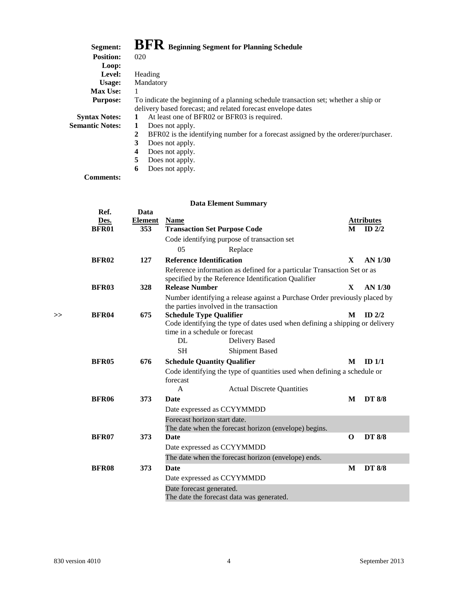| Segment:               | BFR Beginning Segment for Planning Schedule                                            |  |  |  |  |  |
|------------------------|----------------------------------------------------------------------------------------|--|--|--|--|--|
| <b>Position:</b>       | 020                                                                                    |  |  |  |  |  |
| Loop:                  |                                                                                        |  |  |  |  |  |
| Level:                 | Heading                                                                                |  |  |  |  |  |
| Usage:                 | Mandatory                                                                              |  |  |  |  |  |
| <b>Max Use:</b>        | 1                                                                                      |  |  |  |  |  |
| <b>Purpose:</b>        | To indicate the beginning of a planning schedule transaction set; whether a ship or    |  |  |  |  |  |
|                        | delivery based forecast; and related forecast envelope dates                           |  |  |  |  |  |
| <b>Syntax Notes:</b>   | At least one of BFR02 or BFR03 is required.<br>1                                       |  |  |  |  |  |
| <b>Semantic Notes:</b> | Does not apply.<br>1                                                                   |  |  |  |  |  |
|                        | 2<br>BFR02 is the identifying number for a forecast assigned by the orderer/purchaser. |  |  |  |  |  |
|                        | 3<br>Does not apply.                                                                   |  |  |  |  |  |
|                        | 4<br>Does not apply.                                                                   |  |  |  |  |  |
|                        | 5<br>Does not apply.                                                                   |  |  |  |  |  |

**6** Does not apply.

**Comments:**

|    | Ref.         | Data           |                                                                                       |                                                                                                |              |                   |
|----|--------------|----------------|---------------------------------------------------------------------------------------|------------------------------------------------------------------------------------------------|--------------|-------------------|
|    | Des.         | <b>Element</b> | <b>Name</b>                                                                           |                                                                                                |              | <b>Attributes</b> |
|    | <b>BFR01</b> | 353            | <b>Transaction Set Purpose Code</b>                                                   |                                                                                                | M            | ID $2/2$          |
|    |              |                | Code identifying purpose of transaction set                                           |                                                                                                |              |                   |
|    |              |                | 05<br>Replace                                                                         |                                                                                                |              |                   |
|    | <b>BFR02</b> | 127            | <b>Reference Identification</b>                                                       |                                                                                                | $\mathbf{X}$ | AN 1/30           |
|    |              |                | specified by the Reference Identification Qualifier                                   | Reference information as defined for a particular Transaction Set or as                        |              |                   |
|    | <b>BFR03</b> | 328            | <b>Release Number</b>                                                                 |                                                                                                | $\mathbf{X}$ | AN 1/30           |
|    |              |                | the parties involved in the transaction                                               | Number identifying a release against a Purchase Order previously placed by                     |              |                   |
| >> | <b>BFR04</b> | 675            | <b>Schedule Type Qualifier</b>                                                        |                                                                                                | M            | $ID$ 2/2          |
|    |              |                | time in a schedule or forecast<br>DL                                                  | Code identifying the type of dates used when defining a shipping or delivery<br>Delivery Based |              |                   |
|    |              |                | <b>SH</b>                                                                             | <b>Shipment Based</b>                                                                          |              |                   |
|    | <b>BFR05</b> | 676            | <b>Schedule Quantity Qualifier</b>                                                    |                                                                                                | M            | ID $1/1$          |
|    |              |                | forecast                                                                              | Code identifying the type of quantities used when defining a schedule or                       |              |                   |
|    |              |                | A                                                                                     | <b>Actual Discrete Quantities</b>                                                              |              |                   |
|    | <b>BFR06</b> | 373            | <b>Date</b>                                                                           |                                                                                                | M            | <b>DT 8/8</b>     |
|    |              |                | Date expressed as CCYYMMDD                                                            |                                                                                                |              |                   |
|    |              |                | Forecast horizon start date.<br>The date when the forecast horizon (envelope) begins. |                                                                                                |              |                   |
|    | <b>BFR07</b> | 373            | <b>Date</b>                                                                           |                                                                                                | $\Omega$     | <b>DT 8/8</b>     |
|    |              |                | Date expressed as CCYYMMDD                                                            |                                                                                                |              |                   |
|    |              |                | The date when the forecast horizon (envelope) ends.                                   |                                                                                                |              |                   |
|    | <b>BFR08</b> | 373            | <b>Date</b>                                                                           |                                                                                                | M            | <b>DT 8/8</b>     |
|    |              |                | Date expressed as CCYYMMDD                                                            |                                                                                                |              |                   |
|    |              |                | Date forecast generated.<br>The date the forecast data was generated.                 |                                                                                                |              |                   |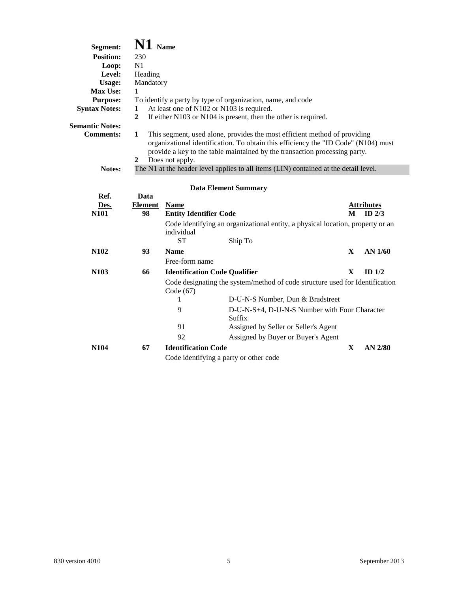| Segment:               | $N1$ Name                                      |                               |                                                                                                                                                                                                                                               |              |                   |  |  |
|------------------------|------------------------------------------------|-------------------------------|-----------------------------------------------------------------------------------------------------------------------------------------------------------------------------------------------------------------------------------------------|--------------|-------------------|--|--|
| <b>Position:</b>       | 230                                            |                               |                                                                                                                                                                                                                                               |              |                   |  |  |
| Loop:                  | N1                                             |                               |                                                                                                                                                                                                                                               |              |                   |  |  |
| Level:                 | Heading                                        |                               |                                                                                                                                                                                                                                               |              |                   |  |  |
| <b>Usage:</b>          | Mandatory                                      |                               |                                                                                                                                                                                                                                               |              |                   |  |  |
| Max Use:               | 1                                              |                               |                                                                                                                                                                                                                                               |              |                   |  |  |
| <b>Purpose:</b>        |                                                |                               | To identify a party by type of organization, name, and code                                                                                                                                                                                   |              |                   |  |  |
| <b>Syntax Notes:</b>   | At least one of N102 or N103 is required.<br>1 |                               |                                                                                                                                                                                                                                               |              |                   |  |  |
|                        | $\boldsymbol{2}$                               |                               | If either N103 or N104 is present, then the other is required.                                                                                                                                                                                |              |                   |  |  |
| <b>Semantic Notes:</b> |                                                |                               |                                                                                                                                                                                                                                               |              |                   |  |  |
| <b>Comments:</b>       | $\mathbf{1}$<br>$\mathbf{2}$                   | Does not apply.               | This segment, used alone, provides the most efficient method of providing<br>organizational identification. To obtain this efficiency the "ID Code" (N104) must<br>provide a key to the table maintained by the transaction processing party. |              |                   |  |  |
| Notes:                 |                                                |                               | The N1 at the header level applies to all items (LIN) contained at the detail level.                                                                                                                                                          |              |                   |  |  |
| Ref.                   | Data                                           |                               | <b>Data Element Summary</b>                                                                                                                                                                                                                   |              |                   |  |  |
|                        |                                                |                               |                                                                                                                                                                                                                                               |              |                   |  |  |
| Des.                   | <b>Element</b>                                 | <b>Name</b>                   |                                                                                                                                                                                                                                               |              | <b>Attributes</b> |  |  |
| <b>N101</b>            | 98                                             | <b>Entity Identifier Code</b> |                                                                                                                                                                                                                                               | М            | $ID$ $2/3$        |  |  |
|                        |                                                | individual                    | Code identifying an organizational entity, a physical location, property or an                                                                                                                                                                |              |                   |  |  |
|                        |                                                | <b>ST</b>                     | Ship To                                                                                                                                                                                                                                       |              |                   |  |  |
| N <sub>102</sub>       | 93                                             | <b>Name</b>                   |                                                                                                                                                                                                                                               | X            | AN 1/60           |  |  |
|                        |                                                | Free-form name                |                                                                                                                                                                                                                                               |              |                   |  |  |
| N <sub>103</sub>       | 66                                             |                               | <b>Identification Code Qualifier</b>                                                                                                                                                                                                          | $\mathbf{X}$ | ID $1/2$          |  |  |
|                        |                                                | Code $(67)$                   | Code designating the system/method of code structure used for Identification                                                                                                                                                                  |              |                   |  |  |
|                        |                                                | 1                             | D-U-N-S Number, Dun & Bradstreet                                                                                                                                                                                                              |              |                   |  |  |
|                        |                                                | 9                             | D-U-N-S+4, D-U-N-S Number with Four Character<br>Suffix                                                                                                                                                                                       |              |                   |  |  |
|                        |                                                | 91                            | Assigned by Seller or Seller's Agent                                                                                                                                                                                                          |              |                   |  |  |
|                        |                                                | 92                            | Assigned by Buyer or Buyer's Agent                                                                                                                                                                                                            |              |                   |  |  |
| N <sub>104</sub>       | 67                                             | <b>Identification Code</b>    |                                                                                                                                                                                                                                               | X            | AN 2/80           |  |  |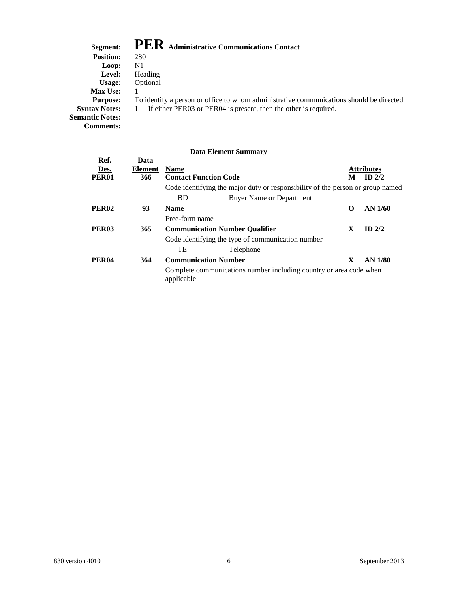### **Segment: PER Administrative Communications Contact**

| <b>DUGHRHU.</b>        | — — — — лишшынан с сошшишканоны социасы                                                 |
|------------------------|-----------------------------------------------------------------------------------------|
| <b>Position:</b>       | 280                                                                                     |
| Loop:                  | N1                                                                                      |
| Level:                 | Heading                                                                                 |
| Usage:                 | Optional                                                                                |
| <b>Max Use:</b>        |                                                                                         |
| <b>Purpose:</b>        | To identify a person or office to whom administrative communications should be directed |
| <b>Syntax Notes:</b>   | If either PER03 or PER04 is present, then the other is required.<br>$\mathbf{1}$        |
| <b>Semantic Notes:</b> |                                                                                         |
| <b>Comments:</b>       |                                                                                         |
|                        |                                                                                         |

|                   |         |                              | Data Element Summary                                                           |          |                   |
|-------------------|---------|------------------------------|--------------------------------------------------------------------------------|----------|-------------------|
| Ref.              | Data    |                              |                                                                                |          |                   |
| Des.              | Element | <b>Name</b>                  |                                                                                |          | <b>Attributes</b> |
| <b>PER01</b>      | 366     | <b>Contact Function Code</b> |                                                                                | M        | $ID$ 2/2          |
|                   |         |                              | Code identifying the major duty or responsibility of the person or group named |          |                   |
|                   |         | <b>BD</b>                    | <b>Buyer Name or Department</b>                                                |          |                   |
| PER <sub>02</sub> | 93      | <b>Name</b>                  |                                                                                | $\Omega$ | $AN$ 1/60         |
|                   |         | Free-form name               |                                                                                |          |                   |
| PER <sub>03</sub> | 365     |                              | <b>Communication Number Qualifier</b>                                          | X        | $ID$ 2/2          |
|                   |         |                              | Code identifying the type of communication number                              |          |                   |
|                   |         | TE                           | Telephone                                                                      |          |                   |
| PER <sub>04</sub> | 364     |                              | <b>Communication Number</b>                                                    | X        | AN 1/80           |
|                   |         | applicable                   | Complete communications number including country or area code when             |          |                   |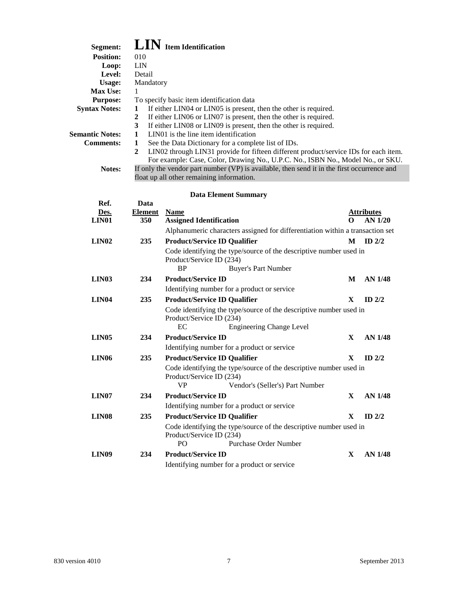| Segment:<br><b>Position:</b><br>Loop:<br>Level:<br><b>Usage:</b><br>Max Use:<br><b>Purpose:</b><br><b>Syntax Notes:</b><br><b>Semantic Notes:</b><br><b>Comments:</b><br>Notes: | 010<br><b>LIN</b><br>Detail<br>Mandatory<br>1<br>1<br>$\boldsymbol{2}$<br>3<br>1<br>$\mathbf{1}$<br>$\boldsymbol{2}$ | $\textbf{LIN}$ Item Identification<br>To specify basic item identification data<br>If either LIN04 or LIN05 is present, then the other is required.<br>If either LIN06 or LIN07 is present, then the other is required.<br>If either LIN08 or LIN09 is present, then the other is required.<br>LIN01 is the line item identification<br>See the Data Dictionary for a complete list of IDs.<br>LIN02 through LIN31 provide for fifteen different product/service IDs for each item.<br>For example: Case, Color, Drawing No., U.P.C. No., ISBN No., Model No., or SKU.<br>If only the vendor part number (VP) is available, then send it in the first occurrence and<br>float up all other remaining information. |            |                   |
|---------------------------------------------------------------------------------------------------------------------------------------------------------------------------------|----------------------------------------------------------------------------------------------------------------------|-------------------------------------------------------------------------------------------------------------------------------------------------------------------------------------------------------------------------------------------------------------------------------------------------------------------------------------------------------------------------------------------------------------------------------------------------------------------------------------------------------------------------------------------------------------------------------------------------------------------------------------------------------------------------------------------------------------------|------------|-------------------|
|                                                                                                                                                                                 |                                                                                                                      | <b>Data Element Summary</b>                                                                                                                                                                                                                                                                                                                                                                                                                                                                                                                                                                                                                                                                                       |            |                   |
| Ref.                                                                                                                                                                            | Data                                                                                                                 |                                                                                                                                                                                                                                                                                                                                                                                                                                                                                                                                                                                                                                                                                                                   |            |                   |
| Des.                                                                                                                                                                            | <b>Element</b>                                                                                                       | <b>Name</b>                                                                                                                                                                                                                                                                                                                                                                                                                                                                                                                                                                                                                                                                                                       |            | <b>Attributes</b> |
| LIN <sub>01</sub>                                                                                                                                                               | 350                                                                                                                  | <b>Assigned Identification</b>                                                                                                                                                                                                                                                                                                                                                                                                                                                                                                                                                                                                                                                                                    | $_{\odot}$ | AN 1/20           |
|                                                                                                                                                                                 |                                                                                                                      | Alphanumeric characters assigned for differentiation within a transaction set                                                                                                                                                                                                                                                                                                                                                                                                                                                                                                                                                                                                                                     |            |                   |
| <b>LIN02</b>                                                                                                                                                                    | 235                                                                                                                  | <b>Product/Service ID Qualifier</b>                                                                                                                                                                                                                                                                                                                                                                                                                                                                                                                                                                                                                                                                               | M          | ID $2/2$          |
|                                                                                                                                                                                 |                                                                                                                      | Code identifying the type/source of the descriptive number used in<br>Product/Service ID (234)<br><b>BP</b><br><b>Buyer's Part Number</b>                                                                                                                                                                                                                                                                                                                                                                                                                                                                                                                                                                         |            |                   |
| <b>LIN03</b>                                                                                                                                                                    | 234                                                                                                                  | <b>Product/Service ID</b>                                                                                                                                                                                                                                                                                                                                                                                                                                                                                                                                                                                                                                                                                         | M          | <b>AN 1/48</b>    |
|                                                                                                                                                                                 |                                                                                                                      | Identifying number for a product or service                                                                                                                                                                                                                                                                                                                                                                                                                                                                                                                                                                                                                                                                       |            |                   |
| LIN <sub>04</sub>                                                                                                                                                               | 235                                                                                                                  | <b>Product/Service ID Qualifier</b>                                                                                                                                                                                                                                                                                                                                                                                                                                                                                                                                                                                                                                                                               | X          | ID $2/2$          |
|                                                                                                                                                                                 |                                                                                                                      | Code identifying the type/source of the descriptive number used in<br>Product/Service ID (234)<br>EC<br><b>Engineering Change Level</b>                                                                                                                                                                                                                                                                                                                                                                                                                                                                                                                                                                           |            |                   |
| LIN <sub>05</sub>                                                                                                                                                               | 234                                                                                                                  | <b>Product/Service ID</b>                                                                                                                                                                                                                                                                                                                                                                                                                                                                                                                                                                                                                                                                                         | X          | <b>AN 1/48</b>    |
|                                                                                                                                                                                 |                                                                                                                      | Identifying number for a product or service                                                                                                                                                                                                                                                                                                                                                                                                                                                                                                                                                                                                                                                                       |            |                   |
| <b>LIN06</b>                                                                                                                                                                    | 235                                                                                                                  | <b>Product/Service ID Qualifier</b>                                                                                                                                                                                                                                                                                                                                                                                                                                                                                                                                                                                                                                                                               | X          | ID $2/2$          |
|                                                                                                                                                                                 |                                                                                                                      | Code identifying the type/source of the descriptive number used in<br>Product/Service ID (234)<br><b>VP</b><br>Vendor's (Seller's) Part Number                                                                                                                                                                                                                                                                                                                                                                                                                                                                                                                                                                    |            |                   |
| LIN <sub>07</sub>                                                                                                                                                               | 234                                                                                                                  | <b>Product/Service ID</b>                                                                                                                                                                                                                                                                                                                                                                                                                                                                                                                                                                                                                                                                                         | X          | AN 1/48           |
|                                                                                                                                                                                 |                                                                                                                      | Identifying number for a product or service                                                                                                                                                                                                                                                                                                                                                                                                                                                                                                                                                                                                                                                                       |            |                   |
| <b>LIN08</b>                                                                                                                                                                    | 235                                                                                                                  | <b>Product/Service ID Qualifier</b>                                                                                                                                                                                                                                                                                                                                                                                                                                                                                                                                                                                                                                                                               | X          | ID $2/2$          |
|                                                                                                                                                                                 |                                                                                                                      | Code identifying the type/source of the descriptive number used in<br>Product/Service ID (234)<br>PO<br>Purchase Order Number                                                                                                                                                                                                                                                                                                                                                                                                                                                                                                                                                                                     |            |                   |
| <b>LIN09</b>                                                                                                                                                                    | 234                                                                                                                  | <b>Product/Service ID</b>                                                                                                                                                                                                                                                                                                                                                                                                                                                                                                                                                                                                                                                                                         | X          | <b>AN 1/48</b>    |
|                                                                                                                                                                                 |                                                                                                                      | Identifying number for a product or service                                                                                                                                                                                                                                                                                                                                                                                                                                                                                                                                                                                                                                                                       |            |                   |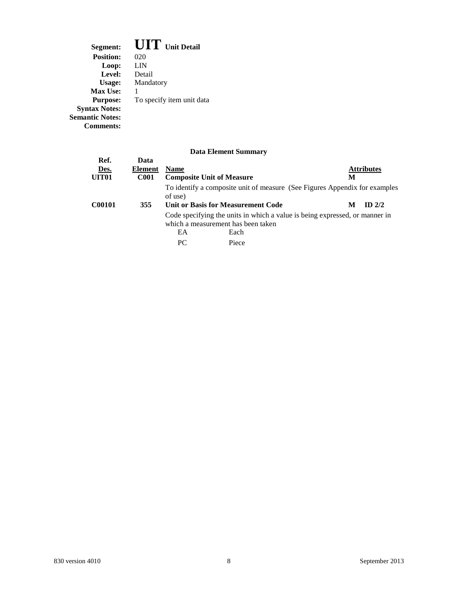**Segment: UIT Unit Detail Position:** 020<br>**Loop:** LIN **Loop:** LIN **Level:** Detail **Usage:** Mandatory Usage: M<br>Max Use: 1 To specify item unit data Purpose:<br>Syntax Notes: **Semantic Notes: Comments:**

| Ref.              | Data           |             |                                                                                                                   |                   |
|-------------------|----------------|-------------|-------------------------------------------------------------------------------------------------------------------|-------------------|
| Des.              | <b>Element</b> | <b>Name</b> |                                                                                                                   | <b>Attributes</b> |
| UIT <sub>01</sub> | <b>C001</b>    |             | <b>Composite Unit of Measure</b>                                                                                  | М                 |
|                   |                | of use)     | To identify a composite unit of measure (See Figures Appendix for examples                                        |                   |
| <b>C00101</b>     | 355            |             | Unit or Basis for Measurement Code                                                                                | ID $2/2$<br>M     |
|                   |                |             | Code specifying the units in which a value is being expressed, or manner in<br>which a measurement has been taken |                   |
|                   |                | EA          | Each                                                                                                              |                   |
|                   |                | PC.         | Piece                                                                                                             |                   |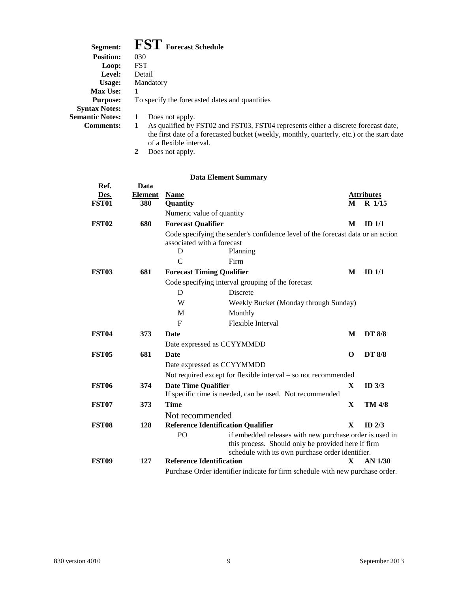| Segment:               | <b>FST</b> Forecast Schedule                                                                                                                                                          |
|------------------------|---------------------------------------------------------------------------------------------------------------------------------------------------------------------------------------|
| <b>Position:</b>       | 030                                                                                                                                                                                   |
| Loop:                  | <b>FST</b>                                                                                                                                                                            |
| Level:                 | Detail                                                                                                                                                                                |
| Usage:                 | Mandatory                                                                                                                                                                             |
| <b>Max Use:</b>        |                                                                                                                                                                                       |
| <b>Purpose:</b>        | To specify the forecasted dates and quantities                                                                                                                                        |
| <b>Syntax Notes:</b>   |                                                                                                                                                                                       |
| <b>Semantic Notes:</b> | Does not apply.                                                                                                                                                                       |
| <b>Comments:</b>       | As qualified by FST02 and FST03, FST04 represents either a discrete forecast date,<br>1<br>the first date of a forecasted bucket (weekly, monthly, quarterly, etc.) or the start date |

of a flexible interval. **2** Does not apply.

| Ref.              | Data           |                                  |                                                                                                               |              |                   |
|-------------------|----------------|----------------------------------|---------------------------------------------------------------------------------------------------------------|--------------|-------------------|
| Des.              | <b>Element</b> | <b>Name</b>                      |                                                                                                               |              | <b>Attributes</b> |
| FST <sub>01</sub> | 380            | Quantity                         |                                                                                                               |              | M R 1/15          |
|                   |                | Numeric value of quantity        |                                                                                                               |              |                   |
| FST <sub>02</sub> | 680            | <b>Forecast Qualifier</b>        |                                                                                                               | M            | ID $1/1$          |
|                   |                |                                  | Code specifying the sender's confidence level of the forecast data or an action                               |              |                   |
|                   |                | associated with a forecast       |                                                                                                               |              |                   |
|                   |                | D                                | Planning                                                                                                      |              |                   |
|                   |                | $\mathcal{C}$                    | Firm                                                                                                          |              |                   |
| FST <sub>03</sub> | 681            | <b>Forecast Timing Qualifier</b> |                                                                                                               | M            | ID <sub>1/1</sub> |
|                   |                |                                  | Code specifying interval grouping of the forecast                                                             |              |                   |
|                   |                | D                                | <b>Discrete</b>                                                                                               |              |                   |
|                   |                | W                                | Weekly Bucket (Monday through Sunday)                                                                         |              |                   |
|                   |                | M                                | Monthly                                                                                                       |              |                   |
|                   |                | $\mathbf{F}$                     | Flexible Interval                                                                                             |              |                   |
| <b>FST04</b>      | 373            | <b>Date</b>                      |                                                                                                               | M            | <b>DT 8/8</b>     |
|                   |                |                                  | Date expressed as CCYYMMDD                                                                                    |              |                   |
| <b>FST05</b>      | 681            | <b>Date</b>                      |                                                                                                               | $\Omega$     | <b>DT 8/8</b>     |
|                   |                |                                  | Date expressed as CCYYMMDD                                                                                    |              |                   |
|                   |                |                                  | Not required except for flexible interval $-$ so not recommended                                              |              |                   |
| <b>FST06</b>      | 374            | <b>Date Time Qualifier</b>       |                                                                                                               | X            | ID $3/3$          |
|                   |                |                                  | If specific time is needed, can be used. Not recommended                                                      |              |                   |
| <b>FST07</b>      | 373            | <b>Time</b>                      |                                                                                                               | $\mathbf{X}$ | <b>TM 4/8</b>     |
|                   |                | Not recommended                  |                                                                                                               |              |                   |
| FST <sub>08</sub> | 128            |                                  | <b>Reference Identification Qualifier</b>                                                                     | $\mathbf{x}$ | $ID$ $2/3$        |
|                   |                | PO                               | if embedded releases with new purchase order is used in<br>this process. Should only be provided here if firm |              |                   |
|                   |                |                                  | schedule with its own purchase order identifier.                                                              |              |                   |
| FST <sub>09</sub> | 127            | <b>Reference Identification</b>  |                                                                                                               | X.           | $AN$ 1/30         |
|                   |                |                                  | Purchase Order identifier indicate for firm schedule with new purchase order.                                 |              |                   |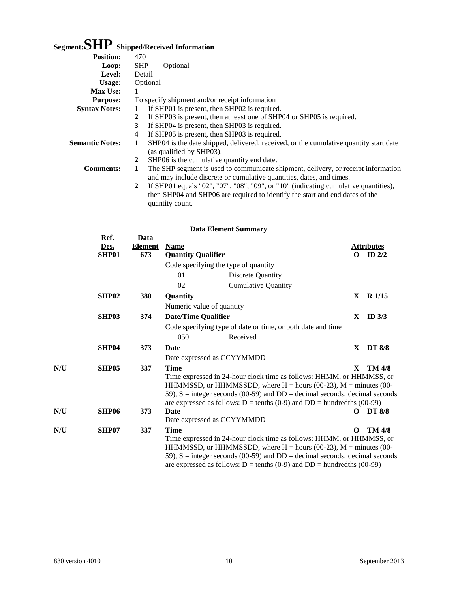## **Segment:SHP Shipped/Received Information**

| <b>Position:</b>       | 470                                                                                                                                                            |
|------------------------|----------------------------------------------------------------------------------------------------------------------------------------------------------------|
| Loop:                  | <b>SHP</b><br>Optional                                                                                                                                         |
| Level:                 | Detail                                                                                                                                                         |
| Usage:                 | Optional                                                                                                                                                       |
| <b>Max Use:</b>        | 1                                                                                                                                                              |
| <b>Purpose:</b>        | To specify shipment and/or receipt information                                                                                                                 |
| <b>Syntax Notes:</b>   | If SHP01 is present, then SHP02 is required.<br>1                                                                                                              |
|                        | If SHP03 is present, then at least one of SHP04 or SHP05 is required.<br>2                                                                                     |
|                        | If SHP04 is present, then SHP03 is required.<br>3                                                                                                              |
|                        | If SHP05 is present, then SHP03 is required.<br>4                                                                                                              |
| <b>Semantic Notes:</b> | SHP04 is the date shipped, delivered, received, or the cumulative quantity start date<br>1<br>(as qualified by SHP03).                                         |
|                        | SHP06 is the cumulative quantity end date.<br>2                                                                                                                |
| <b>Comments:</b>       | The SHP segment is used to communicate shipment, delivery, or receipt information<br>1<br>and may include discrete or cumulative quantities, dates, and times. |
|                        | If SHP01 equals "02", "07", "08", "09", or "10" (indicating cumulative quantities),<br>2                                                                       |
|                        | then SHP04 and SHP06 are required to identify the start and end dates of the                                                                                   |
|                        | quantity count.                                                                                                                                                |

|     | Ref.<br>Des.<br>SHP01 | Data<br><b>Element</b><br>673 | <b>Name</b><br><b>Quantity Qualifier</b> |                                                                                                                                                                                                                                                                                                                           | $\Omega$     | <b>Attributes</b><br>ID $2/2$ |
|-----|-----------------------|-------------------------------|------------------------------------------|---------------------------------------------------------------------------------------------------------------------------------------------------------------------------------------------------------------------------------------------------------------------------------------------------------------------------|--------------|-------------------------------|
|     |                       |                               | Code specifying the type of quantity     |                                                                                                                                                                                                                                                                                                                           |              |                               |
|     |                       |                               | 01                                       | Discrete Quantity                                                                                                                                                                                                                                                                                                         |              |                               |
|     |                       |                               | 02                                       | <b>Cumulative Quantity</b>                                                                                                                                                                                                                                                                                                |              |                               |
|     | SHP <sub>02</sub>     | 380                           | Quantity                                 |                                                                                                                                                                                                                                                                                                                           | $\mathbf{X}$ | $R$ 1/15                      |
|     |                       |                               | Numeric value of quantity                |                                                                                                                                                                                                                                                                                                                           |              |                               |
|     | SHP03                 | 374                           | <b>Date/Time Qualifier</b>               |                                                                                                                                                                                                                                                                                                                           | $\mathbf X$  | ID $3/3$                      |
|     |                       |                               |                                          | Code specifying type of date or time, or both date and time                                                                                                                                                                                                                                                               |              |                               |
|     |                       |                               | 050                                      | Received                                                                                                                                                                                                                                                                                                                  |              |                               |
|     | SHP04                 | 373                           | <b>Date</b>                              |                                                                                                                                                                                                                                                                                                                           | X            | <b>DT 8/8</b>                 |
|     |                       |                               | Date expressed as CCYYMMDD               |                                                                                                                                                                                                                                                                                                                           |              |                               |
| N/U | SHP05                 | 337                           | <b>Time</b>                              | Time expressed in 24-hour clock time as follows: HHMM, or HHMMSS, or<br>HHMMSSD, or HHMMSSDD, where $H =$ hours (00-23), $M =$ minutes (00-<br>59), $S =$ integer seconds (00-59) and $DD =$ decimal seconds; decimal seconds<br>are expressed as follows: $D = \text{tenths} (0-9)$ and $DD = \text{hundredths} (00-99)$ | $\mathbf{x}$ | <b>TM 4/8</b>                 |
| N/U | SHP <sub>06</sub>     | 373                           | <b>Date</b>                              |                                                                                                                                                                                                                                                                                                                           | 0            | <b>DT 8/8</b>                 |
|     |                       |                               | Date expressed as CCYYMMDD               |                                                                                                                                                                                                                                                                                                                           |              |                               |
| N/U | SHP07                 | 337                           | <b>Time</b>                              | Time expressed in 24-hour clock time as follows: HHMM, or HHMMSS, or<br>HHMMSSD, or HHMMSSDD, where $H =$ hours (00-23), $M =$ minutes (00-<br>59), $S =$ integer seconds (00-59) and $DD =$ decimal seconds; decimal seconds<br>are expressed as follows: $D = \text{tenths} (0-9)$ and $DD = \text{hundredths} (00-99)$ | O            | <b>TM 4/8</b>                 |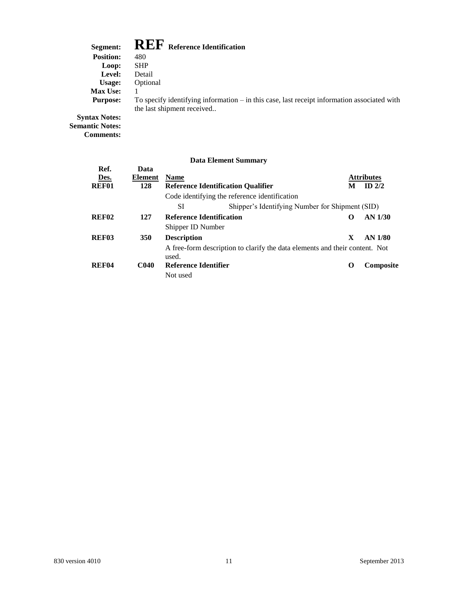### **Segment: REF Reference Identification**

| эсеписит.        |            | <b>AVECT</b> Reference Identification                                                         |
|------------------|------------|-----------------------------------------------------------------------------------------------|
| <b>Position:</b> | 480        |                                                                                               |
| Loop:            | <b>SHP</b> |                                                                                               |
| Level:           | Detail     |                                                                                               |
| Usage:           | Optional   |                                                                                               |
| <b>Max Use:</b>  |            |                                                                                               |
| <b>Purpose:</b>  |            | To specify identifying information $-$ in this case, last receipt information associated with |
|                  |            | the last shipment received                                                                    |
|                  |            |                                                                                               |

**Syntax Notes: Semantic Notes: Comments:**

|                   |                |                                 | рана елениент банницат                                                      |   |                   |
|-------------------|----------------|---------------------------------|-----------------------------------------------------------------------------|---|-------------------|
| Ref.              | Data           |                                 |                                                                             |   |                   |
| Des.              | <b>Element</b> | <b>Name</b>                     |                                                                             |   | <b>Attributes</b> |
| <b>REF01</b>      | 128            |                                 | <b>Reference Identification Qualifier</b>                                   | M | $ID$ 2/2          |
|                   |                |                                 | Code identifying the reference identification                               |   |                   |
|                   |                | SI                              | Shipper's Identifying Number for Shipment (SID)                             |   |                   |
| REF <sub>02</sub> | 127            | <b>Reference Identification</b> |                                                                             | 0 | AN 1/30           |
|                   |                | Shipper ID Number               |                                                                             |   |                   |
| REF03             | <b>350</b>     | <b>Description</b>              |                                                                             | X | AN 1/80           |
|                   |                | used.                           | A free-form description to clarify the data elements and their content. Not |   |                   |
| REF <sub>04</sub> | <b>C040</b>    | Reference Identifier            |                                                                             | O | <b>Composite</b>  |
|                   |                | Not used                        |                                                                             |   |                   |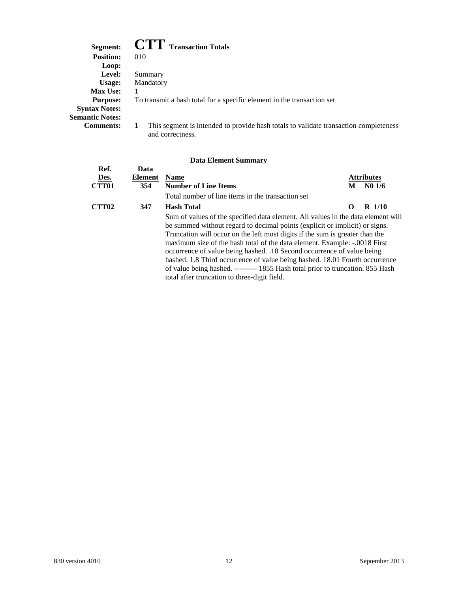### **Segment: CTT Transaction Totals**

| эегшені:               | $\cup$ 1 I ransaction Fotals                                                         |
|------------------------|--------------------------------------------------------------------------------------|
| <b>Position:</b>       | 010                                                                                  |
| Loop:                  |                                                                                      |
| <b>Level:</b>          | Summary                                                                              |
| Usage:                 | Mandatory                                                                            |
| <b>Max Use:</b>        |                                                                                      |
| <b>Purpose:</b>        | To transmit a hash total for a specific element in the transaction set               |
| <b>Syntax Notes:</b>   |                                                                                      |
| <b>Semantic Notes:</b> |                                                                                      |
| <b>Comments:</b>       | This segment is intended to provide hash totals to validate transaction completeness |
|                        | and correctness.                                                                     |

|              |         | рата елешент эшинагу                                                                                                                                                                                                                                                                                                                                                                                                                                                                                                                                                                                                    |          |                   |
|--------------|---------|-------------------------------------------------------------------------------------------------------------------------------------------------------------------------------------------------------------------------------------------------------------------------------------------------------------------------------------------------------------------------------------------------------------------------------------------------------------------------------------------------------------------------------------------------------------------------------------------------------------------------|----------|-------------------|
| Ref.         | Data    |                                                                                                                                                                                                                                                                                                                                                                                                                                                                                                                                                                                                                         |          |                   |
| Des.         | Element | <b>Name</b>                                                                                                                                                                                                                                                                                                                                                                                                                                                                                                                                                                                                             |          | <b>Attributes</b> |
| <b>CTT01</b> | 354     | <b>Number of Line Items</b>                                                                                                                                                                                                                                                                                                                                                                                                                                                                                                                                                                                             | M        | N01/6             |
|              |         | Total number of line items in the transaction set                                                                                                                                                                                                                                                                                                                                                                                                                                                                                                                                                                       |          |                   |
| <b>CTT02</b> | 347     | <b>Hash Total</b>                                                                                                                                                                                                                                                                                                                                                                                                                                                                                                                                                                                                       | $\Omega$ | $R$ 1/10          |
|              |         | Sum of values of the specified data element. All values in the data element will<br>be summed without regard to decimal points (explicit or implicit) or signs.<br>Truncation will occur on the left most digits if the sum is greater than the<br>maximum size of the hash total of the data element. Example: -.0018 First<br>occurrence of value being hashed. .18 Second occurrence of value being<br>hashed. 1.8 Third occurrence of value being hashed. 18.01 Fourth occurrence<br>of value being hashed. --------- 1855 Hash total prior to truncation. 855 Hash<br>total after truncation to three-digit field. |          |                   |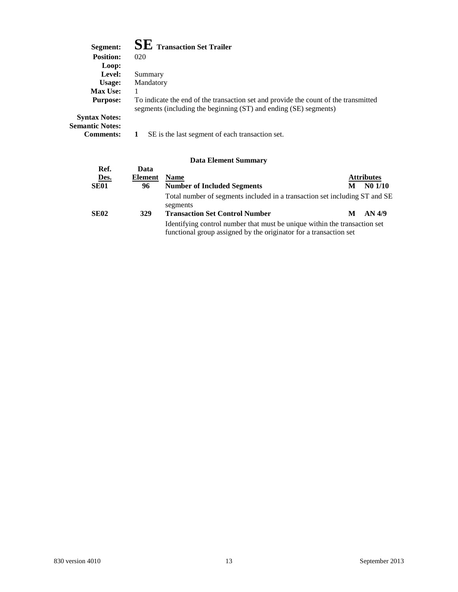| Segment:               | $\mathbf{SE}\ \text{Transaction Set Trailer}$                                                                                                           |
|------------------------|---------------------------------------------------------------------------------------------------------------------------------------------------------|
| <b>Position:</b>       | 020                                                                                                                                                     |
| Loop:                  |                                                                                                                                                         |
| Level:                 | Summary                                                                                                                                                 |
| Usage:                 | Mandatory                                                                                                                                               |
| <b>Max Use:</b>        |                                                                                                                                                         |
| <b>Purpose:</b>        | To indicate the end of the transaction set and provide the count of the transmitted<br>segments (including the beginning (ST) and ending (SE) segments) |
| <b>Syntax Notes:</b>   |                                                                                                                                                         |
| <b>Semantic Notes:</b> |                                                                                                                                                         |
| <b>Comments:</b>       | SE is the last segment of each transaction set.                                                                                                         |

| Ref.        | Data           |                                                                                                                                                |   |                   |
|-------------|----------------|------------------------------------------------------------------------------------------------------------------------------------------------|---|-------------------|
| Des.        | <b>Element</b> | <b>Name</b>                                                                                                                                    |   | <b>Attributes</b> |
| <b>SE01</b> | 96             | <b>Number of Included Segments</b>                                                                                                             | M | $N0$ $1/10$       |
|             |                | Total number of segments included in a transaction set including ST and SE<br>segments                                                         |   |                   |
| <b>SE02</b> | 329            | <b>Transaction Set Control Number</b>                                                                                                          | M | AN 4/9            |
|             |                | Identifying control number that must be unique within the transaction set<br>functional group assigned by the originator for a transaction set |   |                   |